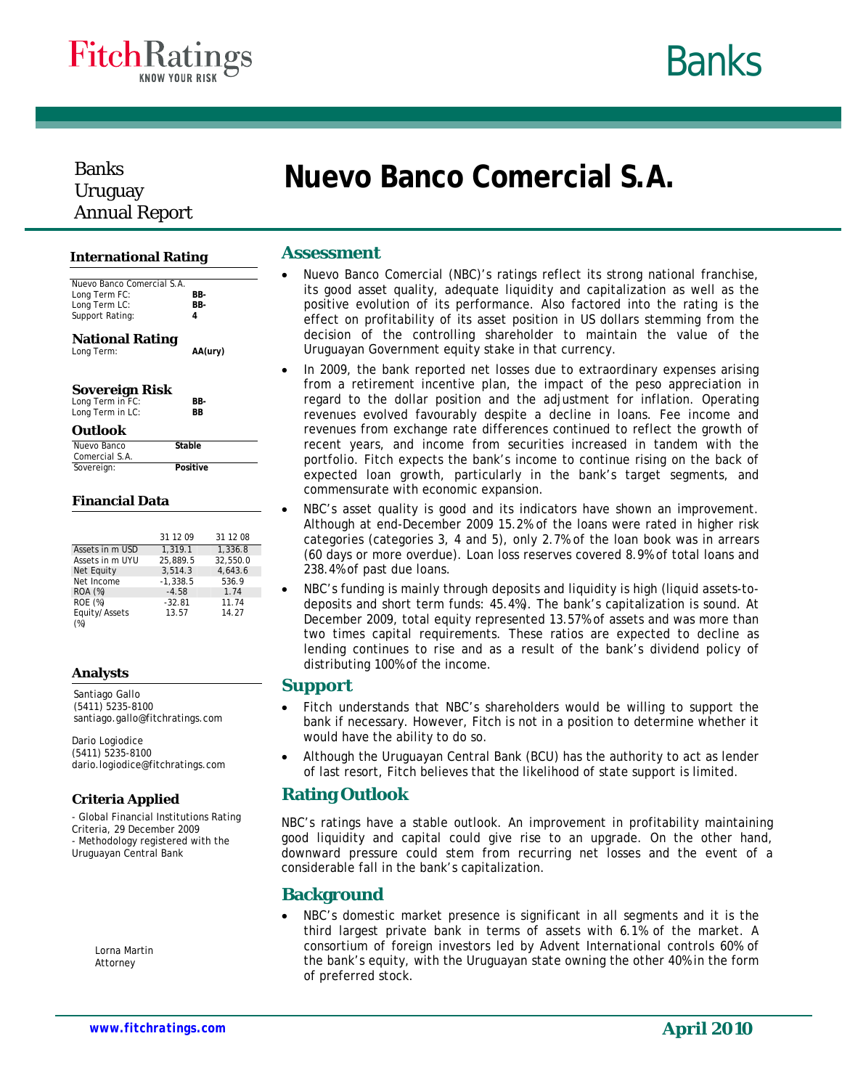



# Banks Uruguay Annual Report

#### **International Rating**

| Nuevo Banco Comercial S.A.<br>Long Term FC:                                         | BB-     |
|-------------------------------------------------------------------------------------|---------|
| Long Term LC:                                                                       | BB-     |
| Support Rating:                                                                     | 4       |
| <b>National Rating</b><br>Long Term:                                                | AA(ury) |
| <b>Sovereign Risk</b><br>$l$ and $T$ orm in $\Gamma$ <sup><math>\Omega</math></sup> | DП      |

# **Sovereign Risk**  Long Term in FC:

|  | Long Term in FC: | вв- |
|--|------------------|-----|
|  | Long Term in LC: | ВB  |

#### **Outlook**

| Nuevo Banco    | Stable   |  |
|----------------|----------|--|
| Comercial S.A. |          |  |
| Sovereign:     | Positive |  |

#### **Financial Data**

|                 | 31 12 09   | 31 12 08 |
|-----------------|------------|----------|
| Assets in m USD | 1.319.1    | 1.336.8  |
| Assets in m UYU | 25.889.5   | 32.550.0 |
| Net Equity      | 3,514.3    | 4.643.6  |
| Net Income      | $-1.338.5$ | 536.9    |
| <b>ROA</b> (%)  | $-4.58$    | 1.74     |
| ROE (%)         | $-32.81$   | 11.74    |
| Equity/Assets   | 13.57      | 14.27    |
| (%)             |            |          |

#### **Analysts**

Santiago Gallo (5411) 5235-8100 santiago.gallo@fitchratings.com

Dario Logiodice (5411) 5235-8100 dario.logiodice@fitchratings.com

#### **Criteria Applied**

- Global Financial Institutions Rating Criteria, 29 December 2009 - Methodology registered with the Uruguayan Central Bank

> Lorna Martin Attorney

#### **Assessment**

• Nuevo Banco Comercial (NBC)'s ratings reflect its strong national franchise, its good asset quality, adequate liquidity and capitalization as well as the positive evolution of its performance. Also factored into the rating is the effect on profitability of its asset position in US dollars stemming from the decision of the controlling shareholder to maintain the value of the Uruguayan Government equity stake in that currency.

**Nuevo Banco Comercial S.A.** 

- In 2009, the bank reported net losses due to extraordinary expenses arising from a retirement incentive plan, the impact of the peso appreciation in regard to the dollar position and the adjustment for inflation. Operating revenues evolved favourably despite a decline in loans. Fee income and revenues from exchange rate differences continued to reflect the growth of recent years, and income from securities increased in tandem with the portfolio. Fitch expects the bank's income to continue rising on the back of expected loan growth, particularly in the bank's target segments, and commensurate with economic expansion.
- NBC's asset quality is good and its indicators have shown an improvement. Although at end-December 2009 15.2% of the loans were rated in higher risk categories (categories 3, 4 and 5), only 2.7% of the loan book was in arrears (60 days or more overdue). Loan loss reserves covered 8.9% of total loans and 238.4% of past due loans.
- NBC's funding is mainly through deposits and liquidity is high (liquid assets-todeposits and short term funds: 45.4%). The bank's capitalization is sound. At December 2009, total equity represented 13.57% of assets and was more than two times capital requirements. These ratios are expected to decline as lending continues to rise and as a result of the bank's dividend policy of distributing 100% of the income.

## **Support**

- Fitch understands that NBC's shareholders would be willing to support the bank if necessary. However, Fitch is not in a position to determine whether it would have the ability to do so.
- Although the Uruguayan Central Bank (BCU) has the authority to act as lender of last resort, Fitch believes that the likelihood of state support is limited.

## **Rating Outlook**

NBC's ratings have a stable outlook. An improvement in profitability maintaining good liquidity and capital could give rise to an upgrade. On the other hand, downward pressure could stem from recurring net losses and the event of a considerable fall in the bank's capitalization.

## **Background**

NBC's domestic market presence is significant in all segments and it is the third largest private bank in terms of assets with 6.1% of the market. A consortium of foreign investors led by Advent International controls 60% of the bank's equity, with the Uruguayan state owning the other 40% in the form of preferred stock.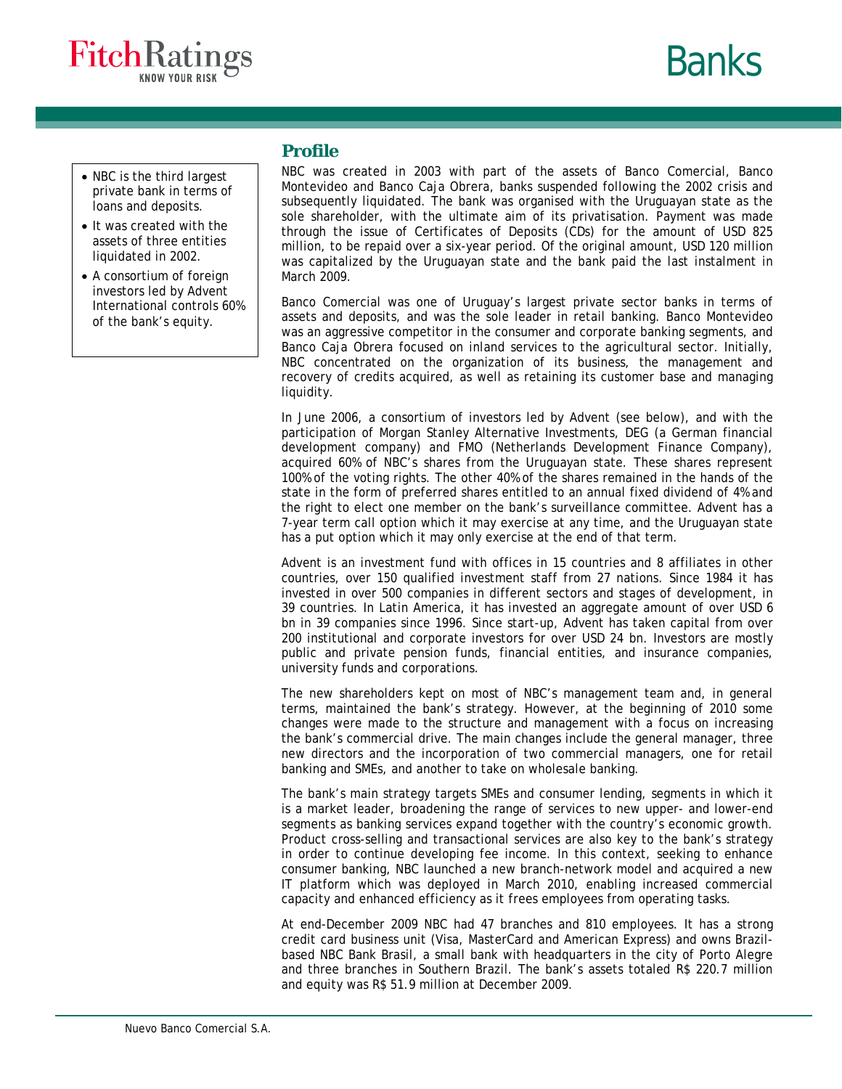



- NBC is the third largest private bank in terms of loans and deposits.
- It was created with the assets of three entities liquidated in 2002.
- A consortium of foreign investors led by Advent International controls 60% of the bank's equity.

### **Profile**

NBC was created in 2003 with part of the assets of Banco Comercial, Banco Montevideo and Banco Caja Obrera, banks suspended following the 2002 crisis and subsequently liquidated. The bank was organised with the Uruguayan state as the sole shareholder, with the ultimate aim of its privatisation. Payment was made through the issue of Certificates of Deposits (CDs) for the amount of USD 825 million, to be repaid over a six-year period. Of the original amount, USD 120 million was capitalized by the Uruguayan state and the bank paid the last instalment in March 2009.

Banco Comercial was one of Uruguay's largest private sector banks in terms of assets and deposits, and was the sole leader in retail banking. Banco Montevideo was an aggressive competitor in the consumer and corporate banking segments, and Banco Caja Obrera focused on inland services to the agricultural sector. Initially, NBC concentrated on the organization of its business, the management and recovery of credits acquired, as well as retaining its customer base and managing liquidity.

In June 2006, a consortium of investors led by Advent (see below), and with the participation of Morgan Stanley Alternative Investments, DEG (a German financial development company) and FMO (Netherlands Development Finance Company), acquired 60% of NBC's shares from the Uruguayan state. These shares represent 100% of the voting rights. The other 40% of the shares remained in the hands of the state in the form of preferred shares entitled to an annual fixed dividend of 4% and the right to elect one member on the bank's surveillance committee. Advent has a 7-year term call option which it may exercise at any time, and the Uruguayan state has a put option which it may only exercise at the end of that term.

Advent is an investment fund with offices in 15 countries and 8 affiliates in other countries, over 150 qualified investment staff from 27 nations. Since 1984 it has invested in over 500 companies in different sectors and stages of development, in 39 countries. In Latin America, it has invested an aggregate amount of over USD 6 bn in 39 companies since 1996. Since start-up, Advent has taken capital from over 200 institutional and corporate investors for over USD 24 bn. Investors are mostly public and private pension funds, financial entities, and insurance companies, university funds and corporations.

The new shareholders kept on most of NBC's management team and, in general terms, maintained the bank's strategy. However, at the beginning of 2010 some changes were made to the structure and management with a focus on increasing the bank's commercial drive. The main changes include the general manager, three new directors and the incorporation of two commercial managers, one for retail banking and SMEs, and another to take on wholesale banking.

The bank's main strategy targets SMEs and consumer lending, segments in which it is a market leader, broadening the range of services to new upper- and lower-end segments as banking services expand together with the country's economic growth. Product cross-selling and transactional services are also key to the bank's strategy in order to continue developing fee income. In this context, seeking to enhance consumer banking, NBC launched a new branch-network model and acquired a new IT platform which was deployed in March 2010, enabling increased commercial capacity and enhanced efficiency as it frees employees from operating tasks.

At end-December 2009 NBC had 47 branches and 810 employees. It has a strong credit card business unit (Visa, MasterCard and American Express) and owns Brazilbased NBC Bank Brasil, a small bank with headquarters in the city of Porto Alegre and three branches in Southern Brazil. The bank's assets totaled R\$ 220.7 million and equity was R\$ 51.9 million at December 2009.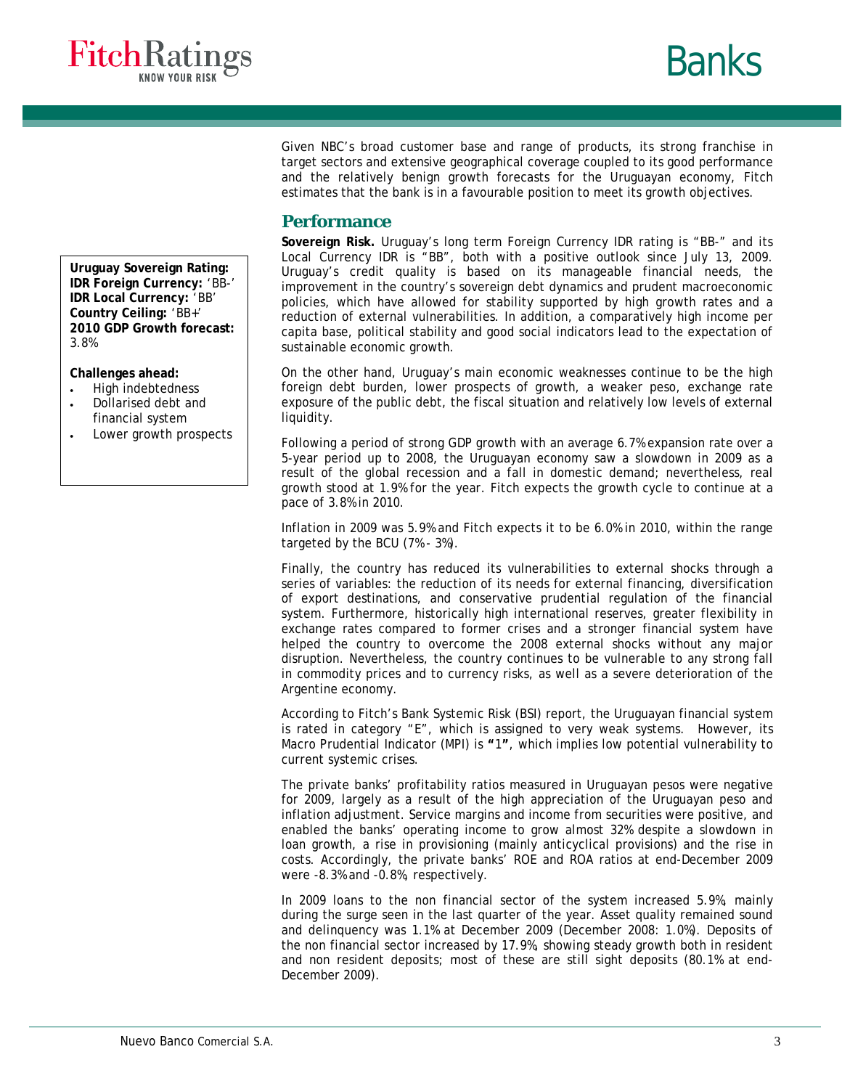

Given NBC's broad customer base and range of products, its strong franchise in target sectors and extensive geographical coverage coupled to its good performance and the relatively benign growth forecasts for the Uruguayan economy, Fitch estimates that the bank is in a favourable position to meet its growth objectives.

### **Performance**

**Sovereign Risk.** Uruguay's long term Foreign Currency IDR rating is "BB-" and its Local Currency IDR is "BB", both with a positive outlook since July 13, 2009. Uruguay's credit quality is based on its manageable financial needs, the improvement in the country's sovereign debt dynamics and prudent macroeconomic policies, which have allowed for stability supported by high growth rates and a reduction of external vulnerabilities. In addition, a comparatively high income per capita base, political stability and good social indicators lead to the expectation of sustainable economic growth.

On the other hand, Uruguay's main economic weaknesses continue to be the high foreign debt burden, lower prospects of growth, a weaker peso, exchange rate exposure of the public debt, the fiscal situation and relatively low levels of external liquidity.

Following a period of strong GDP growth with an average 6.7% expansion rate over a 5-year period up to 2008, the Uruguayan economy saw a slowdown in 2009 as a result of the global recession and a fall in domestic demand; nevertheless, real growth stood at 1.9% for the year. Fitch expects the growth cycle to continue at a pace of 3.8% in 2010.

Inflation in 2009 was 5.9% and Fitch expects it to be 6.0% in 2010, within the range targeted by the BCU (7% - 3%).

Finally, the country has reduced its vulnerabilities to external shocks through a series of variables: the reduction of its needs for external financing, diversification of export destinations, and conservative prudential regulation of the financial system. Furthermore, historically high international reserves, greater flexibility in exchange rates compared to former crises and a stronger financial system have helped the country to overcome the 2008 external shocks without any major disruption. Nevertheless, the country continues to be vulnerable to any strong fall in commodity prices and to currency risks, as well as a severe deterioration of the Argentine economy.

According to Fitch's Bank Systemic Risk (BSI) report, the Uruguayan financial system is rated in category "E", which is assigned to very weak systems. However, its Macro Prudential Indicator (MPI) is **"**1**"**, which implies low potential vulnerability to current systemic crises.

The private banks' profitability ratios measured in Uruguayan pesos were negative for 2009, largely as a result of the high appreciation of the Uruguayan peso and inflation adjustment. Service margins and income from securities were positive, and enabled the banks' operating income to grow almost 32% despite a slowdown in loan growth, a rise in provisioning (mainly anticyclical provisions) and the rise in costs. Accordingly, the private banks' ROE and ROA ratios at end-December 2009 were -8.3% and -0.8%, respectively.

In 2009 loans to the non financial sector of the system increased 5.9%, mainly during the surge seen in the last quarter of the year. Asset quality remained sound and delinquency was 1.1% at December 2009 (December 2008: 1.0%). Deposits of the non financial sector increased by 17.9%, showing steady growth both in resident and non resident deposits; most of these are still sight deposits (80.1% at end-December 2009).

**Uruguay Sovereign Rating: IDR Foreign Currency:** 'BB-' **IDR Local Currency:** 'BB' **Country Ceiling:** 'BB+' **2010 GDP Growth forecast:** 3.8%

**Challenges ahead:** 

- High indebtedness
- Dollarised debt and financial system
- Lower growth prospects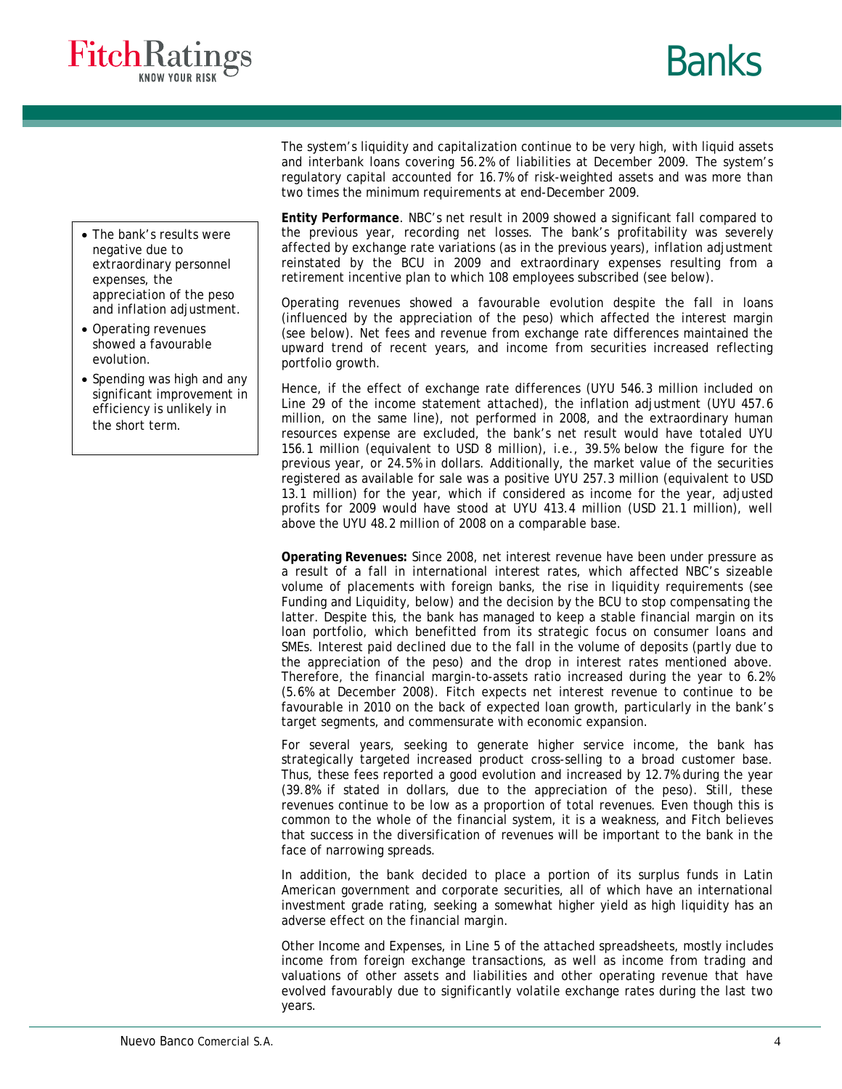



- The bank's results were negative due to extraordinary personnel expenses, the appreciation of the peso and inflation adjustment.
- Operating revenues showed a favourable evolution.
- Spending was high and any significant improvement in efficiency is unlikely in the short term.

The system's liquidity and capitalization continue to be very high, with liquid assets and interbank loans covering 56.2% of liabilities at December 2009. The system's regulatory capital accounted for 16.7% of risk-weighted assets and was more than two times the minimum requirements at end-December 2009.

**Entity Performance**. NBC's net result in 2009 showed a significant fall compared to the previous year, recording net losses. The bank's profitability was severely affected by exchange rate variations (as in the previous years), inflation adjustment reinstated by the BCU in 2009 and extraordinary expenses resulting from a retirement incentive plan to which 108 employees subscribed (see below).

Operating revenues showed a favourable evolution despite the fall in loans (influenced by the appreciation of the peso) which affected the interest margin (see below). Net fees and revenue from exchange rate differences maintained the upward trend of recent years, and income from securities increased reflecting portfolio growth.

Hence, if the effect of exchange rate differences (UYU 546.3 million included on Line 29 of the income statement attached), the inflation adjustment (UYU 457.6 million, on the same line), not performed in 2008, and the extraordinary human resources expense are excluded, the bank's net result would have totaled UYU 156.1 million (equivalent to USD 8 million), i.e., 39.5% below the figure for the previous year, or 24.5% in dollars. Additionally, the market value of the securities registered as available for sale was a positive UYU 257.3 million (equivalent to USD 13.1 million) for the year, which if considered as income for the year, adjusted profits for 2009 would have stood at UYU 413.4 million (USD 21.1 million), well above the UYU 48.2 million of 2008 on a comparable base.

**Operating Revenues:** Since 2008, net interest revenue have been under pressure as a result of a fall in international interest rates, which affected NBC's sizeable volume of placements with foreign banks, the rise in liquidity requirements (see Funding and Liquidity, below) and the decision by the BCU to stop compensating the latter. Despite this, the bank has managed to keep a stable financial margin on its loan portfolio, which benefitted from its strategic focus on consumer loans and SMEs. Interest paid declined due to the fall in the volume of deposits (partly due to the appreciation of the peso) and the drop in interest rates mentioned above. Therefore, the financial margin-to-assets ratio increased during the year to 6.2% (5.6% at December 2008). Fitch expects net interest revenue to continue to be favourable in 2010 on the back of expected loan growth, particularly in the bank's target segments, and commensurate with economic expansion.

For several years, seeking to generate higher service income, the bank has strategically targeted increased product cross-selling to a broad customer base. Thus, these fees reported a good evolution and increased by 12.7% during the year (39.8% if stated in dollars, due to the appreciation of the peso). Still, these revenues continue to be low as a proportion of total revenues. Even though this is common to the whole of the financial system, it is a weakness, and Fitch believes that success in the diversification of revenues will be important to the bank in the face of narrowing spreads.

In addition, the bank decided to place a portion of its surplus funds in Latin American government and corporate securities, all of which have an international investment grade rating, seeking a somewhat higher yield as high liquidity has an adverse effect on the financial margin.

Other Income and Expenses, in Line 5 of the attached spreadsheets, mostly includes income from foreign exchange transactions, as well as income from trading and valuations of other assets and liabilities and other operating revenue that have evolved favourably due to significantly volatile exchange rates during the last two years.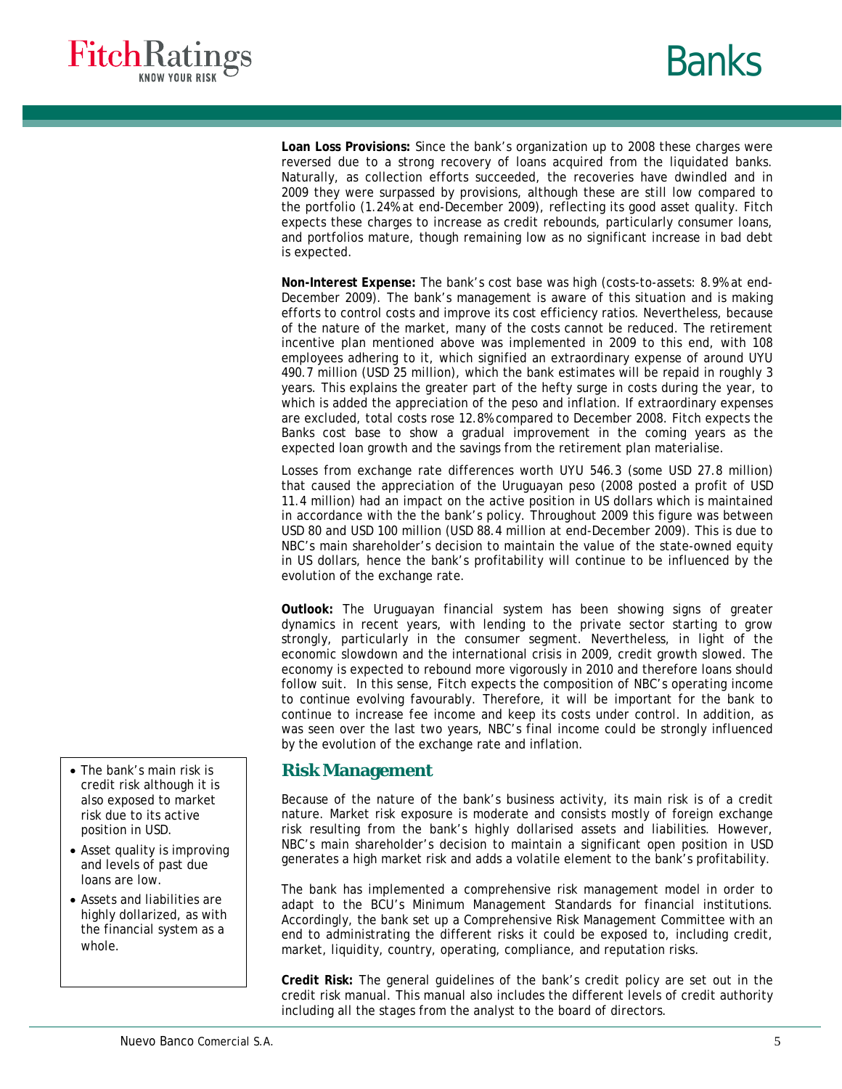



**Loan Loss Provisions:** Since the bank's organization up to 2008 these charges were reversed due to a strong recovery of loans acquired from the liquidated banks. Naturally, as collection efforts succeeded, the recoveries have dwindled and in 2009 they were surpassed by provisions, although these are still low compared to the portfolio (1.24% at end-December 2009), reflecting its good asset quality. Fitch expects these charges to increase as credit rebounds, particularly consumer loans, and portfolios mature, though remaining low as no significant increase in bad debt is expected.

**Non-Interest Expense:** The bank's cost base was high (costs-to-assets: 8.9% at end-December 2009). The bank's management is aware of this situation and is making efforts to control costs and improve its cost efficiency ratios. Nevertheless, because of the nature of the market, many of the costs cannot be reduced. The retirement incentive plan mentioned above was implemented in 2009 to this end, with 108 employees adhering to it, which signified an extraordinary expense of around UYU 490.7 million (USD 25 million), which the bank estimates will be repaid in roughly 3 years. This explains the greater part of the hefty surge in costs during the year, to which is added the appreciation of the peso and inflation. If extraordinary expenses are excluded, total costs rose 12.8% compared to December 2008. Fitch expects the Banks cost base to show a gradual improvement in the coming years as the expected loan growth and the savings from the retirement plan materialise.

Losses from exchange rate differences worth UYU 546.3 (some USD 27.8 million) that caused the appreciation of the Uruguayan peso (2008 posted a profit of USD 11.4 million) had an impact on the active position in US dollars which is maintained in accordance with the the bank's policy. Throughout 2009 this figure was between USD 80 and USD 100 million (USD 88.4 million at end-December 2009). This is due to NBC's main shareholder's decision to maintain the value of the state-owned equity in US dollars, hence the bank's profitability will continue to be influenced by the evolution of the exchange rate.

**Outlook:** The Uruguayan financial system has been showing signs of greater dynamics in recent years, with lending to the private sector starting to grow strongly, particularly in the consumer segment. Nevertheless, in light of the economic slowdown and the international crisis in 2009, credit growth slowed. The economy is expected to rebound more vigorously in 2010 and therefore loans should follow suit. In this sense, Fitch expects the composition of NBC's operating income to continue evolving favourably. Therefore, it will be important for the bank to continue to increase fee income and keep its costs under control. In addition, as was seen over the last two years, NBC's final income could be strongly influenced by the evolution of the exchange rate and inflation.

## **Risk Management**

Because of the nature of the bank's business activity, its main risk is of a credit nature. Market risk exposure is moderate and consists mostly of foreign exchange risk resulting from the bank's highly dollarised assets and liabilities. However, NBC's main shareholder's decision to maintain a significant open position in USD generates a high market risk and adds a volatile element to the bank's profitability.

The bank has implemented a comprehensive risk management model in order to adapt to the BCU's Minimum Management Standards for financial institutions. Accordingly, the bank set up a Comprehensive Risk Management Committee with an end to administrating the different risks it could be exposed to, including credit, market, liquidity, country, operating, compliance, and reputation risks.

**Credit Risk:** The general guidelines of the bank's credit policy are set out in the credit risk manual. This manual also includes the different levels of credit authority including all the stages from the analyst to the board of directors.

- The bank's main risk is credit risk although it is also exposed to market risk due to its active position in USD.
- Asset quality is improving and levels of past due loans are low.
- Assets and liabilities are highly dollarized, as with the financial system as a whole.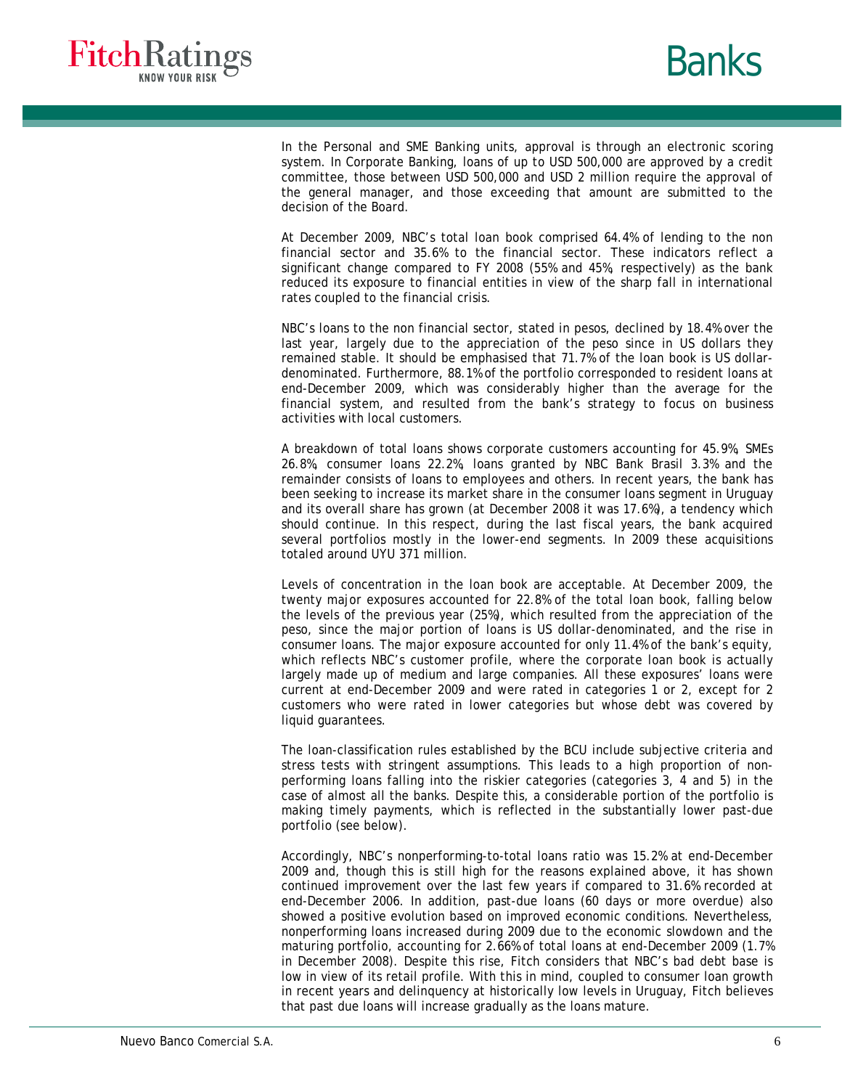



In the Personal and SME Banking units, approval is through an electronic scoring system. In Corporate Banking, loans of up to USD 500,000 are approved by a credit committee, those between USD 500,000 and USD 2 million require the approval of the general manager, and those exceeding that amount are submitted to the decision of the Board.

At December 2009, NBC's total loan book comprised 64.4% of lending to the non financial sector and 35.6% to the financial sector. These indicators reflect a significant change compared to FY 2008 (55% and 45%, respectively) as the bank reduced its exposure to financial entities in view of the sharp fall in international rates coupled to the financial crisis.

NBC's loans to the non financial sector, stated in pesos, declined by 18.4% over the last year, largely due to the appreciation of the peso since in US dollars they remained stable. It should be emphasised that 71.7% of the loan book is US dollardenominated. Furthermore, 88.1% of the portfolio corresponded to resident loans at end-December 2009, which was considerably higher than the average for the financial system, and resulted from the bank's strategy to focus on business activities with local customers.

A breakdown of total loans shows corporate customers accounting for 45.9%, SMEs 26.8%, consumer loans 22.2%, loans granted by NBC Bank Brasil 3.3% and the remainder consists of loans to employees and others. In recent years, the bank has been seeking to increase its market share in the consumer loans segment in Uruguay and its overall share has grown (at December 2008 it was 17.6%), a tendency which should continue. In this respect, during the last fiscal years, the bank acquired several portfolios mostly in the lower-end segments. In 2009 these acquisitions totaled around UYU 371 million.

Levels of concentration in the loan book are acceptable. At December 2009, the twenty major exposures accounted for 22.8% of the total loan book, falling below the levels of the previous year (25%), which resulted from the appreciation of the peso, since the major portion of loans is US dollar-denominated, and the rise in consumer loans. The major exposure accounted for only 11.4% of the bank's equity, which reflects NBC's customer profile, where the corporate loan book is actually largely made up of medium and large companies. All these exposures' loans were current at end-December 2009 and were rated in categories 1 or 2, except for 2 customers who were rated in lower categories but whose debt was covered by liquid guarantees.

The loan-classification rules established by the BCU include subjective criteria and stress tests with stringent assumptions. This leads to a high proportion of nonperforming loans falling into the riskier categories (categories 3, 4 and 5) in the case of almost all the banks. Despite this, a considerable portion of the portfolio is making timely payments, which is reflected in the substantially lower past-due portfolio (see below).

Accordingly, NBC's nonperforming-to-total loans ratio was 15.2% at end-December 2009 and, though this is still high for the reasons explained above, it has shown continued improvement over the last few years if compared to 31.6% recorded at end-December 2006. In addition, past-due loans (60 days or more overdue) also showed a positive evolution based on improved economic conditions. Nevertheless, nonperforming loans increased during 2009 due to the economic slowdown and the maturing portfolio, accounting for 2.66% of total loans at end-December 2009 (1.7% in December 2008). Despite this rise, Fitch considers that NBC's bad debt base is low in view of its retail profile. With this in mind, coupled to consumer loan growth in recent years and delinquency at historically low levels in Uruguay, Fitch believes that past due loans will increase gradually as the loans mature.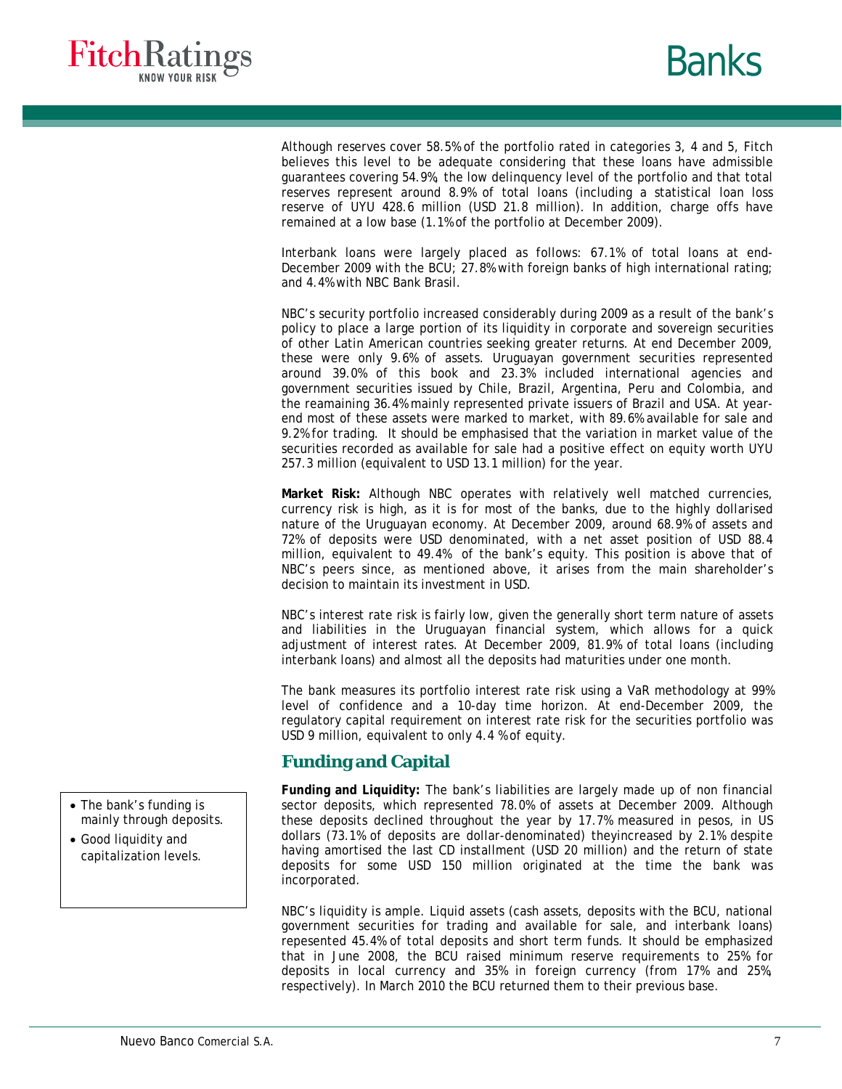



Although reserves cover 58.5% of the portfolio rated in categories 3, 4 and 5, Fitch believes this level to be adequate considering that these loans have admissible guarantees covering 54.9%, the low delinquency level of the portfolio and that total reserves represent around 8.9% of total loans (including a statistical loan loss reserve of UYU 428.6 million (USD 21.8 million). In addition, charge offs have remained at a low base (1.1% of the portfolio at December 2009).

Interbank loans were largely placed as follows: 67.1% of total loans at end-December 2009 with the BCU; 27.8% with foreign banks of high international rating; and 4.4% with NBC Bank Brasil.

NBC's security portfolio increased considerably during 2009 as a result of the bank's policy to place a large portion of its liquidity in corporate and sovereign securities of other Latin American countries seeking greater returns. At end December 2009, these were only 9.6% of assets. Uruguayan government securities represented around 39.0% of this book and 23.3% included international agencies and government securities issued by Chile, Brazil, Argentina, Peru and Colombia, and the reamaining 36.4% mainly represented private issuers of Brazil and USA. At yearend most of these assets were marked to market, with 89.6% available for sale and 9.2% for trading. It should be emphasised that the variation in market value of the securities recorded as available for sale had a positive effect on equity worth UYU 257.3 million (equivalent to USD 13.1 million) for the year.

**Market Risk:** Although NBC operates with relatively well matched currencies, currency risk is high, as it is for most of the banks, due to the highly dollarised nature of the Uruguayan economy. At December 2009, around 68.9% of assets and 72% of deposits were USD denominated, with a net asset position of USD 88.4 million, equivalent to 49.4% of the bank's equity. This position is above that of NBC's peers since, as mentioned above, it arises from the main shareholder's decision to maintain its investment in USD.

NBC's interest rate risk is fairly low, given the generally short term nature of assets and liabilities in the Uruguayan financial system, which allows for a quick adjustment of interest rates. At December 2009, 81.9% of total loans (including interbank loans) and almost all the deposits had maturities under one month.

The bank measures its portfolio interest rate risk using a VaR methodology at 99% level of confidence and a 10-day time horizon. At end-December 2009, the regulatory capital requirement on interest rate risk for the securities portfolio was USD 9 million, equivalent to only 4.4 % of equity.

# **Funding and Capital**

**Funding and Liquidity:** The bank's liabilities are largely made up of non financial sector deposits, which represented 78.0% of assets at December 2009. Although these deposits declined throughout the year by 17.7% measured in pesos, in US dollars (73.1% of deposits are dollar-denominated) theyincreased by 2.1% despite having amortised the last CD installment (USD 20 million) and the return of state deposits for some USD 150 million originated at the time the bank was incorporated.

NBC's liquidity is ample. Liquid assets (cash assets, deposits with the BCU, national government securities for trading and available for sale, and interbank loans) repesented 45.4% of total deposits and short term funds. It should be emphasized that in June 2008, the BCU raised minimum reserve requirements to 25% for deposits in local currency and 35% in foreign currency (from 17% and 25%, respectively). In March 2010 the BCU returned them to their previous base.

- The bank's funding is mainly through deposits.
- Good liquidity and capitalization levels.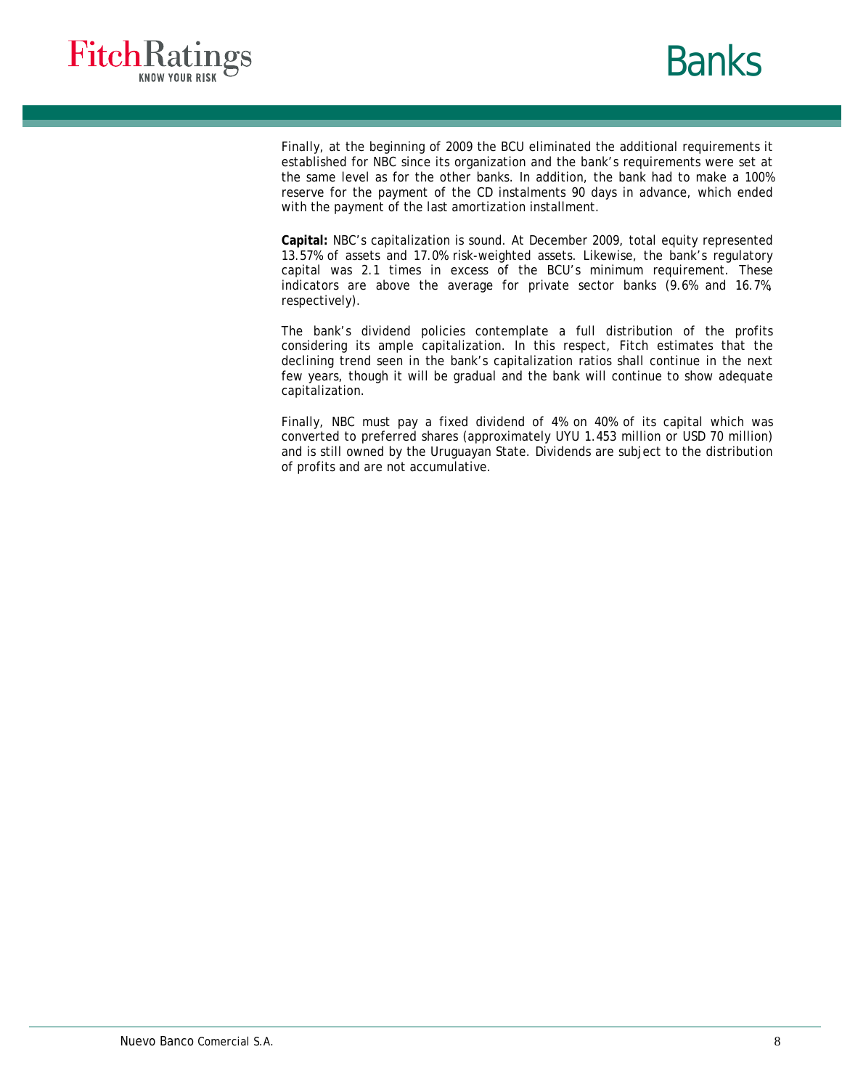



Finally, at the beginning of 2009 the BCU eliminated the additional requirements it established for NBC since its organization and the bank's requirements were set at the same level as for the other banks. In addition, the bank had to make a 100% reserve for the payment of the CD instalments 90 days in advance, which ended with the payment of the last amortization installment.

**Capital:** NBC's capitalization is sound. At December 2009, total equity represented 13.57% of assets and 17.0% risk-weighted assets. Likewise, the bank's regulatory capital was 2.1 times in excess of the BCU's minimum requirement. These indicators are above the average for private sector banks (9.6% and 16.7%, respectively).

The bank's dividend policies contemplate a full distribution of the profits considering its ample capitalization. In this respect, Fitch estimates that the declining trend seen in the bank's capitalization ratios shall continue in the next few years, though it will be gradual and the bank will continue to show adequate capitalization.

Finally, NBC must pay a fixed dividend of 4% on 40% of its capital which was converted to preferred shares (approximately UYU 1.453 million or USD 70 million) and is still owned by the Uruguayan State. Dividends are subject to the distribution of profits and are not accumulative.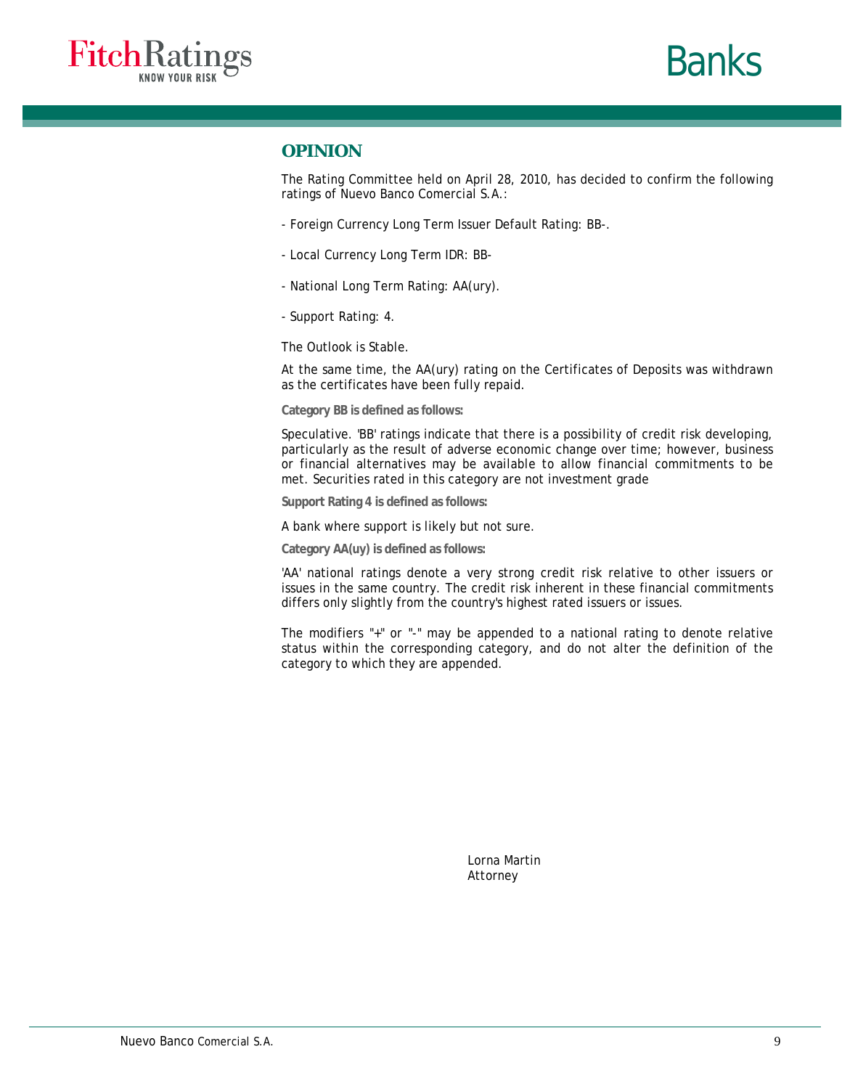



## **OPINION**

The Rating Committee held on April 28, 2010, has decided to confirm the following ratings of Nuevo Banco Comercial S.A.:

- Foreign Currency Long Term Issuer Default Rating: BB-.
- Local Currency Long Term IDR: BB-
- National Long Term Rating: AA(ury).
- Support Rating: 4.

The Outlook is Stable.

At the same time, the AA(ury) rating on the Certificates of Deposits was withdrawn as the certificates have been fully repaid.

**Category BB is defined as follows:** 

Speculative. 'BB' ratings indicate that there is a possibility of credit risk developing, particularly as the result of adverse economic change over time; however, business or financial alternatives may be available to allow financial commitments to be met. Securities rated in this category are not investment grade

**Support Rating 4 is defined as follows:** 

A bank where support is likely but not sure.

**Category AA(uy) is defined as follows:** 

'AA' national ratings denote a very strong credit risk relative to other issuers or issues in the same country. The credit risk inherent in these financial commitments differs only slightly from the country's highest rated issuers or issues.

The modifiers "+" or "-" may be appended to a national rating to denote relative status within the corresponding category, and do not alter the definition of the category to which they are appended.

> Lorna Martin Attorney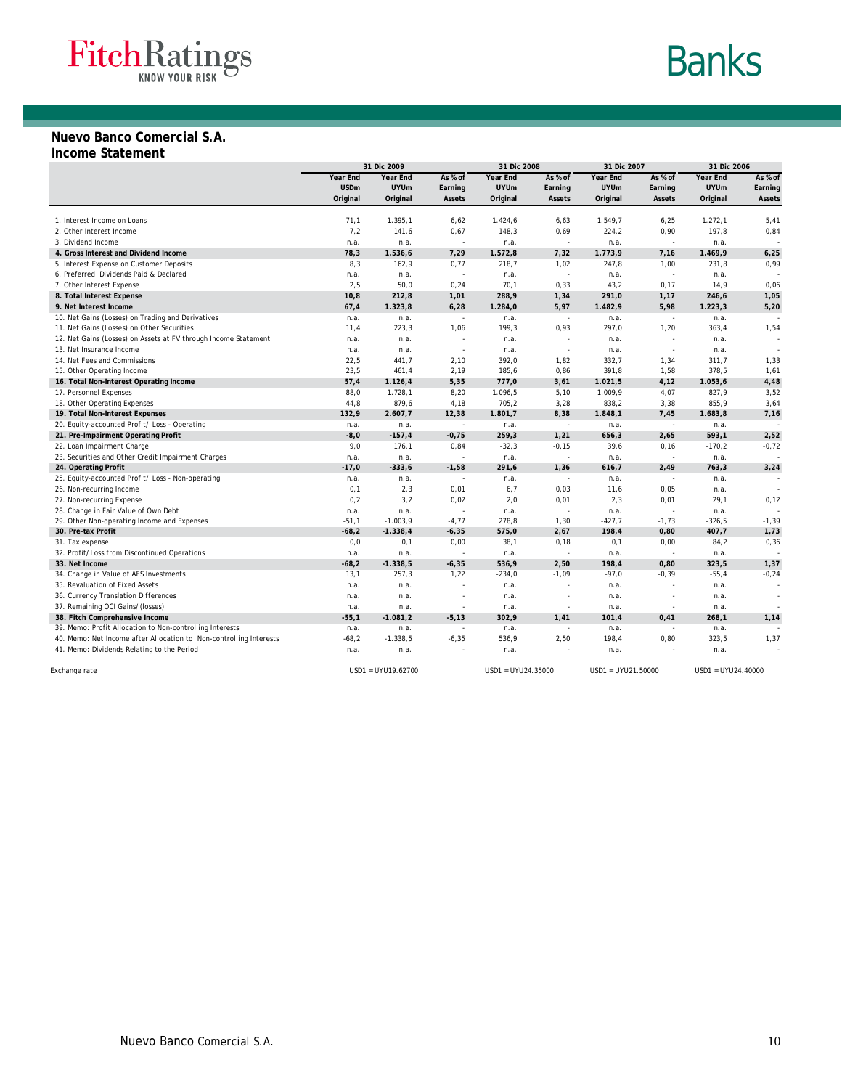# **Banks**

# **Nuevo Banco Comercial S.A.**

#### **Income Statement**

|                                                                                     |                 | 31 Dic 2009        |                          | 31 Dic 2008        | 31 Dic 2007              |                    | 31 Dic 2006    |                    |                          |
|-------------------------------------------------------------------------------------|-----------------|--------------------|--------------------------|--------------------|--------------------------|--------------------|----------------|--------------------|--------------------------|
|                                                                                     | Year End        | Year End           | As % of                  | Year End           | As % of                  | Year End           | As % of        | Year End           | As % of                  |
|                                                                                     | <b>USDm</b>     | <b>UYUm</b>        | Earning                  | <b>UYUm</b>        | Earning                  | <b>UYUm</b>        | Earning        | <b>UYUm</b>        | Earning                  |
|                                                                                     | Original        | Original           | Assets                   | Original           | Assets                   | Original           | Assets         | Original           | Assets                   |
|                                                                                     |                 |                    |                          |                    |                          |                    |                |                    |                          |
| 1. Interest Income on Loans                                                         | 71,1            | 1.395,1            | 6,62                     | 1.424,6            | 6,63                     | 1.549,7            | 6,25           | 1.272, 1           | 5,41                     |
| 2. Other Interest Income                                                            | 7,2             | 141,6              | 0,67                     | 148,3              | 0,69                     | 224,2              | 0,90           | 197,8              | 0,84                     |
| 3. Dividend Income                                                                  | n.a.            | n.a.               | ÷.                       | n.a.               | $\sim$                   | n.a.               | $\sim$         | n.a.               |                          |
| 4. Gross Interest and Dividend Income                                               | 78,3            | 1.536,6            | 7,29                     | 1.572,8            | 7,32                     | 1.773,9            | 7,16           | 1.469,9            | 6,25                     |
| 5. Interest Expense on Customer Deposits                                            | 8,3             | 162,9              | 0,77                     | 218,7              | 1,02                     | 247,8              | 1,00           | 231,8              | 0,99                     |
| 6. Preferred Dividends Paid & Declared                                              | n.a.            | n.a.               | $\sim$                   | n.a.               | ÷.                       | n.a.               | ÷.             | n.a.               |                          |
| 7. Other Interest Expense                                                           | 2,5             | 50,0               | 0,24                     | 70,1               | 0, 33                    | 43,2               | 0,17           | 14,9               | 0,06                     |
| 8. Total Interest Expense                                                           | 10,8            | 212,8              | 1,01                     | 288,9              | 1,34                     | 291,0              | 1,17           | 246,6              | 1,05                     |
| 9. Net Interest Income                                                              | 67,4            | 1.323,8            | 6,28                     | 1.284,0            | 5,97                     | 1.482,9            | 5,98           | 1.223,3            | 5,20                     |
| 10. Net Gains (Losses) on Trading and Derivatives                                   | n.a.            | n.a.               | $\sim$                   | n.a.               | $\sim$                   | n.a.               | ÷.             | n.a.               |                          |
| 11. Net Gains (Losses) on Other Securities                                          | 11,4            | 223,3              | 1,06                     | 199,3              | 0,93                     | 297,0              | 1,20           | 363,4              | 1,54                     |
| 12. Net Gains (Losses) on Assets at FV through Income Statement                     | n.a.            | n.a.               | ÷.                       | n.a.               | ÷,                       | n.a.               | ÷.             | n.a.               |                          |
| 13. Net Insurance Income                                                            | n.a.            | n.a.               | $\sim$                   | n.a.               | ÷,                       | n.a.               | ÷,             | n.a.               |                          |
| 14. Net Fees and Commissions                                                        | 22,5            | 441,7              | 2,10                     | 392,0              | 1,82                     | 332,7              | 1,34           | 311,7              | 1,33                     |
| 15. Other Operating Income                                                          | 23,5            | 461,4              | 2,19                     | 185,6              | 0,86                     | 391,8              | 1,58           | 378,5              | 1,61                     |
| 16. Total Non-Interest Operating Income                                             | 57,4            | 1.126,4            | 5,35                     | 777,0              | 3,61                     | 1.021, 5           | 4, 12          | 1.053,6            | 4,48                     |
| 17. Personnel Expenses                                                              | 88.0            | 1.728,1            | 8,20                     | 1.096,5            | 5,10                     | 1.009,9            | 4,07           | 827,9              | 3,52                     |
| 18. Other Operating Expenses                                                        | 44,8            | 879,6              | 4,18                     | 705,2              | 3,28                     | 838,2              | 3,38           | 855,9              | 3,64                     |
| 19. Total Non-Interest Expenses                                                     | 132,9           | 2.607,7            | 12,38                    | 1.801,7            | 8,38                     | 1.848,1            | 7,45           | 1.683,8            | 7,16                     |
| 20. Equity-accounted Profit/ Loss - Operating                                       | n.a.            | n.a.               | $\sim$                   | n.a.               | $\sim$                   | n.a.               | $\sim$         | n.a.               | $\overline{\phantom{a}}$ |
| 21. Pre-Impairment Operating Profit                                                 | $-8,0$          | $-157,4$           | $-0,75$                  | 259,3              | 1,21                     | 656,3              | 2,65           | 593,1              | 2,52                     |
| 22. Loan Impairment Charge                                                          | 9,0             | 176,1              | 0,84                     | $-32,3$            | $-0,15$                  | 39,6               | 0, 16          | $-170,2$           | $-0,72$                  |
| 23. Securities and Other Credit Impairment Charges                                  | n.a.            | n.a.               | ÷,                       | n.a.               | $\sim$                   | n.a.               | $\sim$         | n.a.               |                          |
| 24. Operating Profit                                                                | $-17,0$         | $-333,6$           | $-1,58$                  | 291,6              | 1,36                     | 616,7              | 2,49           | 763,3              | 3,24                     |
| 25. Equity-accounted Profit/ Loss - Non-operating                                   | n.a.            | n.a.               | ÷.                       | n.a.               | $\sim$                   | n.a.               | $\sim$         | n.a.               |                          |
| 26. Non-recurring Income                                                            | 0,1             | 2,3                | 0,01                     | 6,7                | 0,03                     | 11,6               | 0,05           | n.a.               |                          |
| 27. Non-recurring Expense                                                           | 0,2             | 3,2                | 0,02                     | 2,0                | 0,01                     | 2,3                | 0,01           | 29,1               | 0,12                     |
|                                                                                     | n.a.            | n.a.               | $\sim$                   | n.a.               | ÷.                       |                    |                |                    |                          |
| 28. Change in Fair Value of Own Debt<br>29. Other Non-operating Income and Expenses | $-51,1$         | $-1.003,9$         | $-4.77$                  | 278.8              | 1,30                     | n.a.<br>$-427,7$   | $-1,73$        | n.a.<br>$-326,5$   | $-1, 39$                 |
| 30. Pre-tax Profit                                                                  | $-68,2$         | $-1.338,4$         | $-6, 35$                 | 575,0              | 2,67                     | 198,4              | 0,80           | 407,7              | 1,73                     |
| 31. Tax expense                                                                     | 0, 0            | 0,1                | 0,00                     | 38,1               | 0, 18                    | 0,1                | 0,00           | 84,2               | 0,36                     |
| 32. Profit/Loss from Discontinued Operations                                        |                 |                    | ÷.                       |                    | $\sim$                   |                    | $\overline{a}$ |                    |                          |
| 33. Net Income                                                                      | n.a.<br>$-68,2$ | n.a.<br>$-1.338,5$ | $-6, 35$                 | n.a.<br>536,9      | 2,50                     | n.a.<br>198,4      | 0,80           | n.a.<br>323,5      | 1,37                     |
|                                                                                     | 13,1            |                    |                          | $-234,0$           |                          | $-97,0$            | $-0,39$        |                    | $-0,24$                  |
| 34. Change in Value of AFS Investments                                              |                 | 257,3              | 1,22                     |                    | $-1,09$<br>÷,            |                    |                | $-55,4$            |                          |
| 35. Revaluation of Fixed Assets                                                     | n.a.            | n.a.               |                          | n.a.               |                          | n.a.               | ÷.             | n.a.               |                          |
| 36. Currency Translation Differences                                                | n.a.            | n.a.               | $\overline{\phantom{a}}$ | n.a.               | $\sim$                   | n.a.               |                | n.a.               |                          |
| 37. Remaining OCI Gains/(losses)                                                    | n.a.            | n.a.               | $\sim$                   | n.a.               | $\overline{\phantom{a}}$ | n.a.               | $\overline{a}$ | n.a.               |                          |
| 38. Fitch Comprehensive Income                                                      | $-55,1$         | $-1.081,2$         | $-5,13$                  | 302,9              | 1,41                     | 101,4              | 0,41           | 268,1              | 1,14                     |
| 39. Memo: Profit Allocation to Non-controlling Interests                            | n.a.            | n.a.               | ÷,                       | n.a.               | ÷                        | n.a.               |                | n.a.               |                          |
| 40. Memo: Net Income after Allocation to Non-controlling Interests                  | $-68,2$         | $-1.338,5$         | $-6, 35$                 | 536,9              | 2,50                     | 198,4              | 0,80           | 323,5              | 1,37                     |
| 41. Memo: Dividends Relating to the Period                                          | n.a.            | n.a.               |                          | n.a.               |                          | n.a.               |                | n.a.               |                          |
| Exchange rate                                                                       |                 | USD1 = UYU19.62700 |                          | USD1 = UYU24.35000 |                          | USD1 = UYU21.50000 |                | USD1 = UYU24.40000 |                          |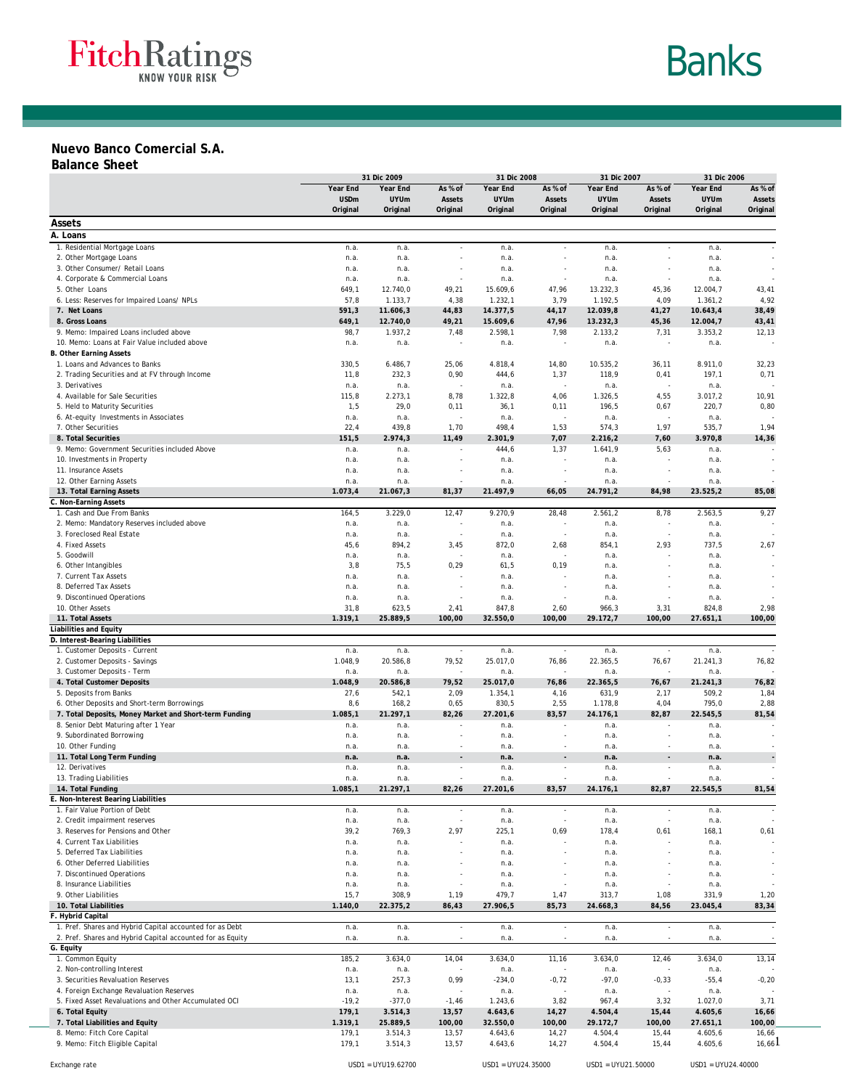

# Banks

#### **Nuevo Banco Comercial S.A.**

#### **Balance Sheet**

|                                                                       | 31 Dic 2009     |                     |                          | 31 Dic 2008          |                          | 31 Dic 2007         |                          | 31 Dic 2006         |                |
|-----------------------------------------------------------------------|-----------------|---------------------|--------------------------|----------------------|--------------------------|---------------------|--------------------------|---------------------|----------------|
|                                                                       | Year End        | Year End            | As % of                  | Year End             | As % of                  | Year End            | As % of                  | Year End            | As % of        |
|                                                                       | <b>USDm</b>     | <b>UYUm</b>         | Assets                   | <b>UYUm</b>          | Assets                   | <b>UYUm</b>         | Assets                   | <b>UYUm</b>         | Assets         |
|                                                                       | Original        | Original            | Original                 | Original             | Original                 | Original            | Original                 | Original            | Original       |
| Assets                                                                |                 |                     |                          |                      |                          |                     |                          |                     |                |
| A. Loans                                                              |                 |                     |                          |                      |                          |                     |                          |                     |                |
| 1. Residential Mortgage Loans                                         | n.a.            | n.a.                | $\sim$                   | n.a.                 | $\sim$                   | n.a.                | $\sim$                   | n.a.                |                |
| 2. Other Mortgage Loans                                               | n.a.            | n.a.                |                          | n.a.                 |                          | n.a.                |                          | n.a.                |                |
| 3. Other Consumer/ Retail Loans                                       | n.a.            | n.a.                |                          | n.a.                 |                          | n.a.                |                          | n.a.                |                |
| 4. Corporate & Commercial Loans                                       | n.a.            | n.a.                |                          | n.a.                 | ×                        | n.a.                | ÷,                       | n.a.                |                |
| 5. Other Loans<br>6. Less: Reserves for Impaired Loans/ NPLs          | 649,1<br>57,8   | 12.740,0<br>1.133,7 | 49,21<br>4,38            | 15.609,6<br>1.232, 1 | 47,96<br>3,79            | 13.232,3<br>1.192,5 | 45,36<br>4,09            | 12.004,7<br>1.361,2 | 43,41<br>4,92  |
| 7. Net Loans                                                          | 591,3           | 11.606,3            | 44,83                    | 14.377,5             | 44,17                    | 12.039,8            | 41,27                    | 10.643,4            | 38,49          |
| 8. Gross Loans                                                        | 649,1           | 12.740,0            | 49,21                    | 15.609,6             | 47,96                    | 13.232,3            | 45,36                    | 12.004,7            | 43,41          |
| 9. Memo: Impaired Loans included above                                | 98,7            | 1.937,2             | 7,48                     | 2.598,1              | 7,98                     | 2.133,2             | 7,31                     | 3.353,2             | 12,13          |
| 10. Memo: Loans at Fair Value included above                          | n.a.            | n.a.                |                          | n.a.                 |                          | n.a.                | ٠                        | n.a.                |                |
| <b>B. Other Earning Assets</b>                                        |                 |                     |                          |                      |                          |                     |                          |                     |                |
| 1. Loans and Advances to Banks                                        | 330,5           | 6.486,7             | 25,06                    | 4.818,4              | 14,80                    | 10.535,2            | 36,11                    | 8.911,0             | 32,23          |
| 2. Trading Securities and at FV through Income                        | 11,8            | 232,3               | 0,90                     | 444,6                | 1,37                     | 118,9               | 0,41                     | 197,1               | 0,71           |
| 3. Derivatives                                                        | n.a.            | n.a.                |                          | n.a.                 | ÷,                       | n.a.                | $\sim$                   | n.a.                |                |
| 4. Available for Sale Securities                                      | 115,8           | 2.273,1             | 8,78                     | 1.322, 8             | 4,06                     | 1.326,5             | 4,55                     | 3.017,2             | 10,91          |
| 5. Held to Maturity Securities                                        | 1,5             | 29,0                | 0,11                     | 36,1                 | 0,11                     | 196,5               | 0,67                     | 220,7               | 0,80           |
| 6. At-equity Investments in Associates                                | n.a.            | n.a.                |                          | n.a.                 | $\sim$                   | n.a.                | ÷,                       | n.a.                |                |
| 7. Other Securities<br>8. Total Securities                            | 22,4<br>151,5   | 439,8<br>2.974,3    | 1,70<br>11,49            | 498,4<br>2.301,9     | 1,53<br>7,07             | 574,3<br>2.216,2    | 1,97<br>7,60             | 535,7<br>3.970,8    | 1,94<br>14,36  |
| 9. Memo: Government Securities included Above                         | n.a.            | n.a.                |                          | 444,6                | 1,37                     | 1.641,9             | 5,63                     | n.a.                |                |
| 10. Investments in Property                                           | n.a.            | n.a.                |                          | n.a.                 | $\sim$                   | n.a.                | ä,                       | n.a.                |                |
| 11. Insurance Assets                                                  | n.a.            | n.a.                |                          | n.a.                 |                          | n.a.                |                          | n.a.                |                |
| 12. Other Earning Assets                                              | n.a.            | n.a.                |                          | n.a.                 | ×                        | n.a.                | ٠                        | n.a.                |                |
| 13. Total Earning Assets                                              | 1.073,4         | 21.067,3            | 81,37                    | 21.497,9             | 66,05                    | 24.791,2            | 84,98                    | 23.525,2            | 85,08          |
| C. Non-Earning Assets                                                 |                 |                     |                          |                      |                          |                     |                          |                     |                |
| 1. Cash and Due From Banks                                            | 164,5           | 3.229,0             | 12,47                    | 9.270,9              | 28,48                    | 2.561,2             | 8,78                     | 2.563,5             | 9,27           |
| 2. Memo: Mandatory Reserves included above                            | n.a.            | n.a.                |                          | n.a.                 |                          | n.a.                |                          | n.a.                |                |
| 3. Foreclosed Real Estate                                             | n.a.            | n.a.                | $\overline{\phantom{a}}$ | n.a.                 | $\overline{\phantom{a}}$ | n.a.                | $\sim$                   | n.a.                |                |
| 4. Fixed Assets                                                       | 45,6            | 894,2               | 3,45                     | 872,0                | 2,68                     | 854,1               | 2,93                     | 737,5               | 2,67           |
| 5. Goodwill                                                           | n.a.            | n.a.                |                          | n.a.                 |                          | n.a.                |                          | n.a.                |                |
| 6. Other Intangibles                                                  | 3,8             | 75,5                | 0,29                     | 61,5                 | 0, 19                    | n.a.                | ä,                       | n.a.                |                |
| 7. Current Tax Assets<br>8. Deferred Tax Assets                       | n.a.<br>n.a.    | n.a.<br>n.a.        |                          | n.a.<br>n.a.         |                          | n.a.<br>n.a.        |                          | n.a.<br>n.a.        |                |
| 9. Discontinued Operations                                            | n.a.            | n.a.                |                          | n.a.                 |                          | n.a.                |                          | n.a.                |                |
| 10. Other Assets                                                      | 31,8            | 623,5               | 2,41                     | 847,8                | 2,60                     | 966,3               | 3,31                     | 824,8               | 2,98           |
| 11. Total Assets                                                      | 1.319,1         | 25.889,5            | 100,00                   | 32.550,0             | 100,00                   | 29.172,7            | 100,00                   | 27.651,1            | 100,00         |
| <b>Liabilities and Equity</b>                                         |                 |                     |                          |                      |                          |                     |                          |                     |                |
| D. Interest-Bearing Liabilities                                       |                 |                     |                          |                      |                          |                     |                          |                     |                |
| 1. Customer Deposits - Current                                        | n.a.            | n.a.                | $\sim$                   | n.a.                 | $\overline{\phantom{a}}$ | n.a.                | $\overline{\phantom{a}}$ | n.a.                |                |
| 2. Customer Deposits - Savings                                        | 1.048,9         | 20.586,8            | 79,52                    | 25.017,0             | 76,86                    | 22.365,5            | 76,67                    | 21.241,3            | 76,82          |
| 3. Customer Deposits - Term                                           | n.a.            | n.a.                | ÷,                       | n.a.                 |                          | n.a.                |                          | n.a.                |                |
| 4. Total Customer Deposits                                            | 1.048,9         | 20.586,8            | 79,52                    | 25.017,0             | 76,86                    | 22.365,5            | 76,67                    | 21.241,3            | 76,82          |
| 5. Deposits from Banks<br>6. Other Deposits and Short-term Borrowings | 27,6<br>8,6     | 542,1<br>168,2      | 2,09<br>0,65             | 1.354,1<br>830,5     | 4,16<br>2,55             | 631,9<br>1.178,8    | 2,17<br>4,04             | 509,2<br>795,0      | 1,84<br>2,88   |
| 7. Total Deposits, Money Market and Short-term Funding                | 1.085, 1        | 21.297,1            | 82,26                    | 27.201,6             | 83,57                    | 24.176,1            | 82,87                    | 22.545,5            | 81,54          |
| 8. Senior Debt Maturing after 1 Year                                  | n.a.            | n.a.                |                          | n.a.                 | $\tilde{\phantom{a}}$    | n.a.                | ×                        | n.a.                |                |
| 9. Subordinated Borrowing                                             | n.a.            | n.a.                |                          | n.a.                 |                          | n.a.                |                          | n.a.                |                |
| 10. Other Funding                                                     | n.a.            | n.a.                |                          | n.a.                 | $\overline{\phantom{a}}$ | n.a.                | Ĭ.                       | n.a.                |                |
| 11. Total Long Term Funding                                           | n.a.            | n.a.                |                          | n.a.                 | $\overline{\phantom{a}}$ | n.a.                | $\overline{\phantom{a}}$ | n.a.                |                |
| 12. Derivatives                                                       | n.a.            | n.a.                |                          | n.a.                 |                          | n.a.                | ٠                        | n.a.                |                |
| 13. Trading Liabilities                                               | n.a.            | n.a.                |                          | n.a.                 | ×                        | n.a.                | $\overline{\phantom{a}}$ | n.a.                |                |
| 14. Total Funding                                                     | 1.085, 1        | 21.297,1            | 82,26                    | 27.201,6             | 83,57                    | 24.176,1            | 82,87                    | 22.545,5            | 81,54          |
| E. Non-Interest Bearing Liabilities                                   |                 |                     |                          |                      |                          |                     |                          |                     |                |
| 1. Fair Value Portion of Debt                                         |                 |                     |                          |                      |                          |                     |                          |                     |                |
|                                                                       | n.a.            | n.a.                |                          | n.a.                 | ÷,                       | n.a.                | ÷,                       | n.a.                |                |
| 2. Credit impairment reserves                                         | n.a.            | n.a.                |                          | n.a.                 |                          | n.a.                | ä,                       | n.a.                |                |
| 3. Reserves for Pensions and Other                                    | 39,2            | 769,3               | 2,97                     | 225,1                | 0,69                     | 178,4               | 0,61                     | 168,1               | 0,61           |
| 4. Current Tax Liabilities                                            | n.a.            | n.a.                |                          | n.a.                 |                          | n.a.                |                          | n.a.                |                |
| 5. Deferred Tax Liabilities                                           | n.a.            | n.a.                |                          | n.a.                 |                          | n.a.                |                          | n.a.                |                |
| 6. Other Deferred Liabilities                                         | n.a.            | n.a.                |                          | n.a.                 |                          | n.a.                |                          | n.a.                |                |
| 7. Discontinued Operations                                            | n.a.            | n.a.                |                          | n.a.                 |                          | n.a.                |                          | n.a.                |                |
| 8. Insurance Liabilities<br>9. Other Liabilities                      | n.a.            | n.a.                |                          | n.a.                 |                          | n.a.                |                          | n.a.                |                |
| 10. Total Liabilities                                                 | 15,7<br>1.140,0 | 308,9<br>22.375,2   | 1,19<br>86,43            | 479,7<br>27.906,5    | 1,47<br>85,73            | 313,7<br>24.668,3   | 1,08<br>84,56            | 331,9<br>23.045,4   | 1,20<br>83,34  |
| F. Hybrid Capital                                                     |                 |                     |                          |                      |                          |                     |                          |                     |                |
| 1. Pref. Shares and Hybrid Capital accounted for as Debt              | n.a.            | n.a.                | $\sim$                   | n.a.                 | $\sim$                   | n.a.                | $\overline{\phantom{a}}$ | n.a.                |                |
| 2. Pref. Shares and Hybrid Capital accounted for as Equity            | n.a.            | n.a.                |                          | n.a.                 | $\overline{\phantom{a}}$ | n.a.                | $\overline{\phantom{a}}$ | n.a.                |                |
| G. Equity                                                             |                 |                     |                          |                      |                          |                     |                          |                     |                |
| 1. Common Equity                                                      | 185,2           | 3.634,0             | 14,04                    | 3.634,0              | 11,16                    | 3.634,0             | 12,46                    | 3.634,0             | 13,14          |
| 2. Non-controlling Interest                                           | n.a.            | n.a.                |                          | n.a.                 |                          | n.a.                |                          | n.a.                |                |
| 3. Securities Revaluation Reserves                                    | 13,1            | 257,3               | 0,99                     | $-234,0$             | $-0,72$                  | $-97,0$             | $-0,33$                  | $-55,4$             | $-0,20$        |
| 4. Foreign Exchange Revaluation Reserves                              | n.a.            | n.a.                |                          | n.a.                 |                          | n.a.                |                          | n.a.                |                |
| 5. Fixed Asset Revaluations and Other Accumulated OCI                 | $-19,2$         | $-377,0$            | $-1,46$                  | 1.243,6              | 3,82                     | 967,4               | 3,32                     | 1.027,0             | 3,71           |
| 6. Total Equity                                                       | 179,1           | 3.514,3             | 13,57                    | 4.643,6              | 14,27                    | 4.504,4             | 15,44                    | 4.605,6             | 16,66          |
| 7. Total Liabilities and Equity                                       | 1.319,1         | 25.889,5            | 100,00                   | 32.550,0             | 100,00                   | 29.172,7            | 100,00                   | 27.651,1            | 100,00         |
| 8. Memo: Fitch Core Capital<br>9. Memo: Fitch Eligible Capital        | 179,1<br>179,1  | 3.514,3<br>3.514,3  | 13,57<br>13,57           | 4.643,6<br>4.643,6   | 14,27<br>14,27           | 4.504,4<br>4.504,4  | 15,44                    | 4.605,6<br>4.605,6  | 16,66<br>16,66 |
|                                                                       |                 |                     |                          |                      |                          |                     | 15,44                    |                     |                |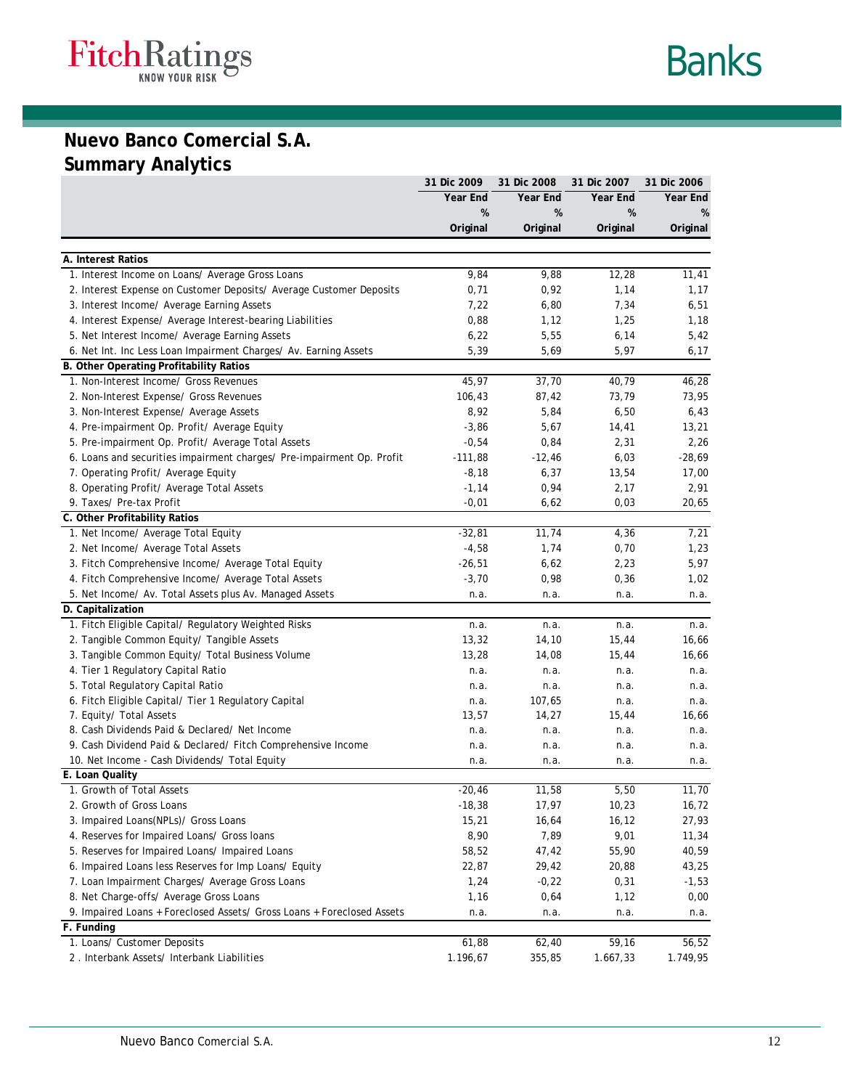

# **Nuevo Banco Comercial S.A. Summary Analytics**

|                                                                        | 31 Dic 2009 | 31 Dic 2008 | 31 Dic 2007 | 31 Dic 2006 |
|------------------------------------------------------------------------|-------------|-------------|-------------|-------------|
|                                                                        | Year End    | Year End    | Year End    | Year End    |
|                                                                        | %           | %           | %           | %           |
|                                                                        | Original    | Original    | Original    | Original    |
|                                                                        |             |             |             |             |
| A. Interest Ratios                                                     |             |             |             |             |
| 1. Interest Income on Loans/ Average Gross Loans                       | 9,84        | 9,88        | 12,28       | 11,41       |
| 2. Interest Expense on Customer Deposits/ Average Customer Deposits    | 0,71        | 0,92        | 1,14        | 1,17        |
| 3. Interest Income/ Average Earning Assets                             | 7,22        | 6,80        | 7,34        | 6,51        |
| 4. Interest Expense/ Average Interest-bearing Liabilities              | 0,88        | 1,12        | 1,25        | 1,18        |
| 5. Net Interest Income/ Average Earning Assets                         | 6,22        | 5,55        | 6,14        | 5,42        |
| 6. Net Int. Inc Less Loan Impairment Charges/ Av. Earning Assets       | 5,39        | 5,69        | 5,97        | 6,17        |
| B. Other Operating Profitability Ratios                                |             |             |             |             |
| 1. Non-Interest Income/ Gross Revenues                                 | 45,97       | 37,70       | 40,79       | 46,28       |
| 2. Non-Interest Expense/ Gross Revenues                                | 106,43      | 87,42       | 73,79       | 73,95       |
| 3. Non-Interest Expense/ Average Assets                                | 8,92        | 5,84        | 6,50        | 6,43        |
| 4. Pre-impairment Op. Profit/ Average Equity                           | $-3,86$     | 5,67        | 14,41       | 13,21       |
| 5. Pre-impairment Op. Profit/ Average Total Assets                     | $-0,54$     | 0,84        | 2,31        | 2,26        |
| 6. Loans and securities impairment charges/ Pre-impairment Op. Profit  | $-111,88$   | $-12,46$    | 6,03        | $-28,69$    |
| 7. Operating Profit/ Average Equity                                    | $-8,18$     | 6,37        | 13,54       | 17,00       |
| 8. Operating Profit/ Average Total Assets                              | $-1,14$     | 0,94        | 2,17        | 2,91        |
| 9. Taxes/ Pre-tax Profit                                               | $-0,01$     | 6,62        | 0,03        | 20,65       |
| C. Other Profitability Ratios                                          |             |             |             |             |
| 1. Net Income/ Average Total Equity                                    | $-32,81$    | 11,74       | 4,36        | 7,21        |
| 2. Net Income/ Average Total Assets                                    | $-4,58$     | 1,74        | 0,70        | 1,23        |
| 3. Fitch Comprehensive Income/ Average Total Equity                    | $-26,51$    | 6,62        | 2,23        | 5,97        |
| 4. Fitch Comprehensive Income/ Average Total Assets                    | $-3,70$     | 0,98        | 0,36        | 1,02        |
| 5. Net Income/ Av. Total Assets plus Av. Managed Assets                | n.a.        | n.a.        | n.a.        | n.a.        |
| D. Capitalization                                                      |             |             |             |             |
| 1. Fitch Eligible Capital/ Regulatory Weighted Risks                   | n.a.        | n.a.        | n.a.        | n.a.        |
| 2. Tangible Common Equity/ Tangible Assets                             | 13,32       | 14,10       | 15,44       | 16,66       |
| 3. Tangible Common Equity/ Total Business Volume                       | 13,28       | 14,08       | 15,44       | 16,66       |
| 4. Tier 1 Regulatory Capital Ratio                                     | n.a.        | n.a.        | n.a.        | n.a.        |
| 5. Total Regulatory Capital Ratio                                      | n.a.        | n.a.        | n.a.        | n.a.        |
| 6. Fitch Eligible Capital/ Tier 1 Regulatory Capital                   | n.a.        | 107,65      | n.a.        | n.a.        |
| 7. Equity/ Total Assets                                                | 13,57       | 14,27       | 15,44       | 16,66       |
| 8. Cash Dividends Paid & Declared/ Net Income                          | n.a.        | n.a.        | n.a.        | n.a.        |
| 9. Cash Dividend Paid & Declared/ Fitch Comprehensive Income           | n.a.        | n.a.        | n.a.        | n.a.        |
| 10. Net Income - Cash Dividends/ Total Equity                          | n.a.        | n.a.        | n.a.        | n.a.        |
| E. Loan Quality                                                        |             |             |             |             |
| 1. Growth of Total Assets                                              | $-20,46$    | 11,58       | 5,50        | 11,70       |
| 2. Growth of Gross Loans                                               | $-18,38$    | 17,97       | 10,23       | 16,72       |
| 3. Impaired Loans(NPLs)/ Gross Loans                                   | 15,21       | 16,64       | 16,12       | 27,93       |
| 4. Reserves for Impaired Loans/ Gross loans                            | 8,90        | 7,89        | 9,01        | 11,34       |
| 5. Reserves for Impaired Loans/ Impaired Loans                         | 58,52       | 47,42       | 55,90       | 40,59       |
| 6. Impaired Loans less Reserves for Imp Loans/ Equity                  | 22,87       | 29,42       | 20,88       | 43,25       |
| 7. Loan Impairment Charges/ Average Gross Loans                        | 1,24        | $-0,22$     | 0,31        | $-1,53$     |
| 8. Net Charge-offs/ Average Gross Loans                                | 1,16        | 0,64        | 1,12        | 0,00        |
| 9. Impaired Loans + Foreclosed Assets/ Gross Loans + Foreclosed Assets | n.a.        | n.a.        | n.a.        | n.a.        |
| F. Funding                                                             |             |             |             |             |
| 1. Loans/ Customer Deposits                                            | 61,88       | 62,40       | 59,16       | 56,52       |
| 2. Interbank Assets/ Interbank Liabilities                             | 1.196,67    | 355,85      | 1.667,33    | 1.749,95    |
|                                                                        |             |             |             |             |